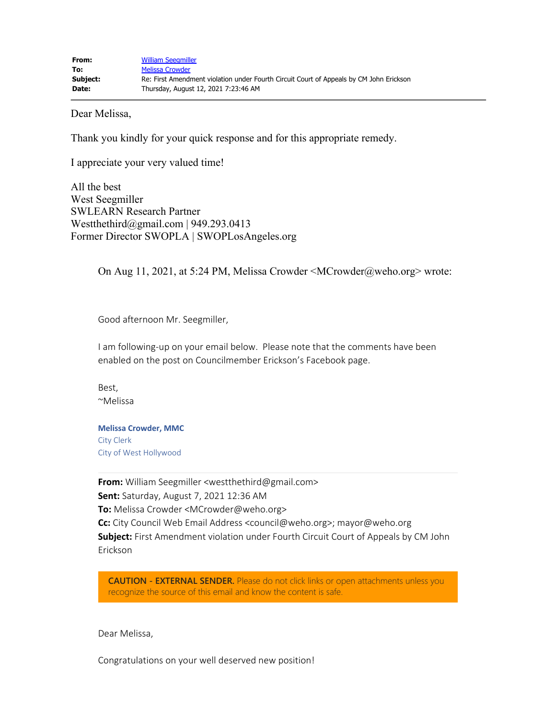Dear Melissa,

Thank you kindly for your quick response and for this appropriate remedy.

I appreciate your very valued time!

All the best West Seegmiller SWLEARN Research Partner Westthethird@gmail.com | 949.293.0413 Former Director SWOPLA | SWOPLosAngeles.org

On Aug 11, 2021, at 5:24 PM, Melissa Crowder <MCrowder@weho.org> wrote:

Good afternoon Mr. Seegmiller,

I am following-up on your email below. Please note that the comments have been enabled on the post on Councilmember Erickson's Facebook page.

Best, ~Melissa

**Melissa Crowder, MMC** City Clerk City of West Hollywood

**From:** William Seegmiller <westthethird@gmail.com> **Sent:** Saturday, August 7, 2021 12:36 AM **To:** Melissa Crowder <MCrowder@weho.org> **Cc:** City Council Web Email Address <council@weho.org>; mayor@weho.org **Subject:** First Amendment violation under Fourth Circuit Court of Appeals by CM John Erickson

**CAUTION - EXTERNAL SENDER.** Please do not click links or open attachments unless you recognize the source of this email and know the content is safe.

Dear Melissa,

Congratulations on your well deserved new position!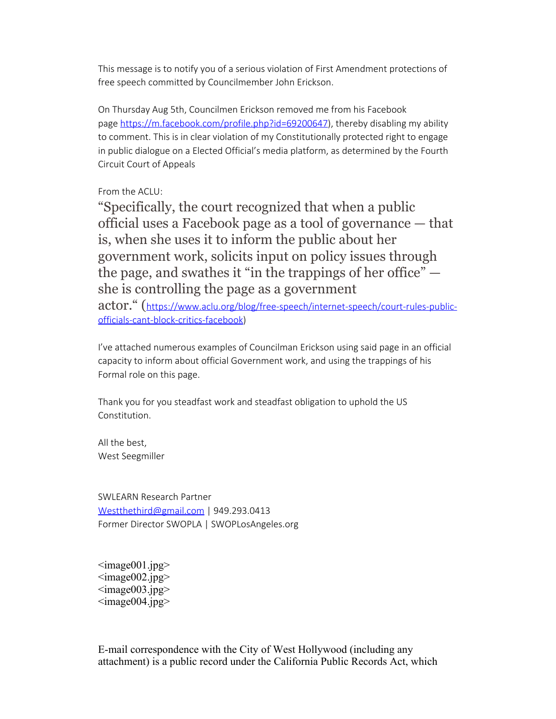This message is to notify you of a serious violation of First Amendment protections of free speech committed by Councilmember John Erickson.

On Thursday Aug 5th, Councilmen Erickson removed me from his Facebook page [https://m.facebook.com/profile.php?id=69200647](https://gcc02.safelinks.protection.outlook.com/?url=https%3A%2F%2Fm.facebook.com%2Fprofile.php%3Fid%3D69200647%26ref%3Dcontent_filter&data=04%7C01%7CMCrowder%40weho.org%7Cf03164199f994546523a08d95d9cca2a%7C0432d4aa7c0a41beaa40f696e053e546%7C0%7C0%7C637643750258917299%7CUnknown%7CTWFpbGZsb3d8eyJWIjoiMC4wLjAwMDAiLCJQIjoiV2luMzIiLCJBTiI6Ik1haWwiLCJXVCI6Mn0%3D%7C1000&sdata=h0GO9%2FTDiGEW5JRfj4LaO8qWuDUevk5kBY3nKxMqeTI%3D&reserved=0)), thereby disabling my ability to comment. This is in clear violation of my Constitutionally protected right to engage in public dialogue on a Elected Official's media platform, as determined by the Fourth Circuit Court of Appeals

## From the ACLU:

"Specifically, the court recognized that when a public official uses a Facebook page as a tool of governance — that is, when she uses it to inform the public about her government work, solicits input on policy issues through the page, and swathes it "in the trappings of her office" she is controlling the page as a government

actor." ([https://www.aclu.org/blog/free-speech/internet-speech/court-rules-public](https://gcc02.safelinks.protection.outlook.com/?url=https%3A%2F%2Fwww.aclu.org%2Fblog%2Ffree-speech%2Finternet-speech%2Fcourt-rules-public-officials-cant-block-critics-facebook&data=04%7C01%7CMCrowder%40weho.org%7Cf03164199f994546523a08d95d9cca2a%7C0432d4aa7c0a41beaa40f696e053e546%7C0%7C0%7C637643750258917299%7CUnknown%7CTWFpbGZsb3d8eyJWIjoiMC4wLjAwMDAiLCJQIjoiV2luMzIiLCJBTiI6Ik1haWwiLCJXVCI6Mn0%3D%7C1000&sdata=D4Zufr8xoot6oisDte2SuBQDUfUpirpCWTk38RGk1Dw%3D&reserved=0)[officials-cant-block-critics-facebook\)](https://gcc02.safelinks.protection.outlook.com/?url=https%3A%2F%2Fwww.aclu.org%2Fblog%2Ffree-speech%2Finternet-speech%2Fcourt-rules-public-officials-cant-block-critics-facebook&data=04%7C01%7CMCrowder%40weho.org%7Cf03164199f994546523a08d95d9cca2a%7C0432d4aa7c0a41beaa40f696e053e546%7C0%7C0%7C637643750258917299%7CUnknown%7CTWFpbGZsb3d8eyJWIjoiMC4wLjAwMDAiLCJQIjoiV2luMzIiLCJBTiI6Ik1haWwiLCJXVCI6Mn0%3D%7C1000&sdata=D4Zufr8xoot6oisDte2SuBQDUfUpirpCWTk38RGk1Dw%3D&reserved=0)

I've attached numerous examples of Councilman Erickson using said page in an official capacity to inform about official Government work, and using the trappings of his Formal role on this page.

Thank you for you steadfast work and steadfast obligation to uphold the US Constitution.

All the best, West Seegmiller

SWLEARN Research Partner [Westthethird@gmail.com](mailto:Westthethird@gmail.com) | 949.293.0413 Former Director SWOPLA | SWOPLosAngeles.org

 $\langle \text{image001.jpg} \rangle$  $\langle \text{image002.jpg} \rangle$  $\langle \text{image003.jpg} \rangle$  $\langle \text{image004.jpg} \rangle$ 

E-mail correspondence with the City of West Hollywood (including any attachment) is a public record under the California Public Records Act, which